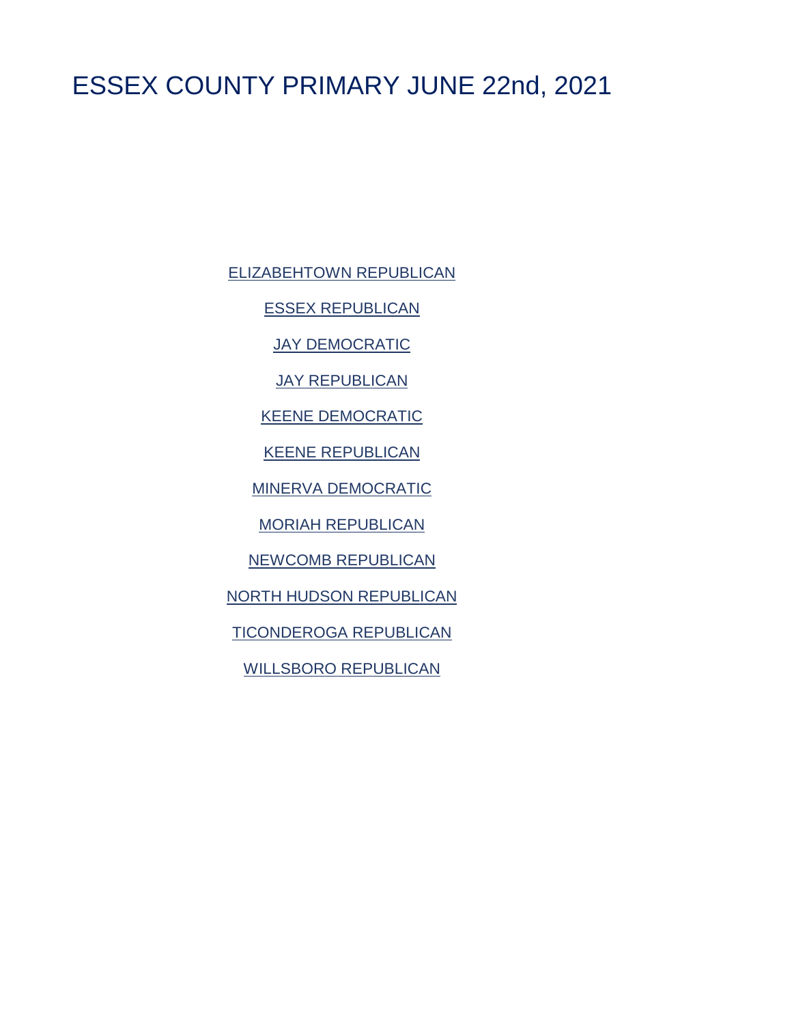# <span id="page-0-0"></span>ESSEX COUNTY PRIMARY JUNE 22nd, 2021

[ELIZABEHTOWN REPUBLICAN](#page-1-0)

[ESSEX REPUBLICAN](#page-2-0)

[JAY DEMOCRATIC](#page-3-0)

**[JAY REPUBLICAN](#page-4-0)** 

[KEENE DEMOCRATIC](#page-5-0)

[KEENE REPUBLICAN](#page-6-0)

[MINERVA DEMOCRATIC](#page-7-0)

[MORIAH REPUBLICAN](#page-8-0)

[NEWCOMB REPUBLICAN](#page-9-0)

[NORTH HUDSON REPUBLICAN](#page-10-0)

[TICONDEROGA REPUBLICAN](#page-11-0)

[WILLSBORO REPUBLICAN](#page-12-0)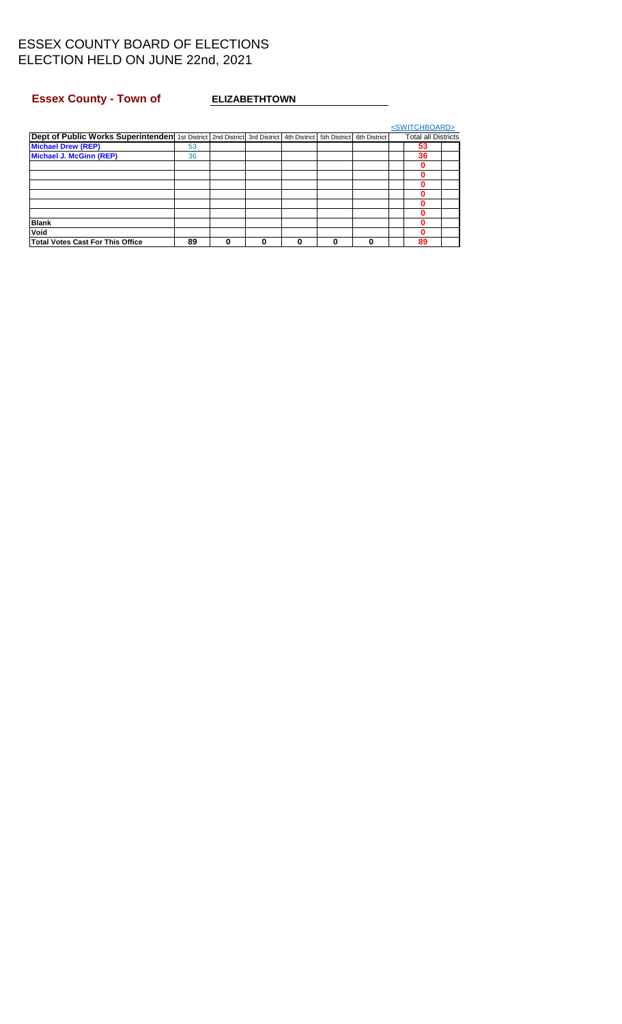## <span id="page-1-0"></span>Essex County - Town of **ELIZABETHTOWN**

|                                                                                                     |    |   |   |   |              | <switchboard></switchboard> |  |
|-----------------------------------------------------------------------------------------------------|----|---|---|---|--------------|-----------------------------|--|
| Dept of Public Works Superintenden 1st District 2nd District 3rd District 4th District 5th District |    |   |   |   | 6th District | <b>Total all Districts</b>  |  |
| <b>Michael Drew (REP)</b>                                                                           | 53 |   |   |   |              | 53                          |  |
| <b>Michael J. McGinn (REP)</b>                                                                      | 36 |   |   |   |              | 36                          |  |
|                                                                                                     |    |   |   |   |              | 0                           |  |
|                                                                                                     |    |   |   |   |              | 0                           |  |
|                                                                                                     |    |   |   |   |              |                             |  |
|                                                                                                     |    |   |   |   |              | 0                           |  |
|                                                                                                     |    |   |   |   |              | 0                           |  |
|                                                                                                     |    |   |   |   |              | 0                           |  |
| <b>Blank</b>                                                                                        |    |   |   |   |              | 0                           |  |
| Void                                                                                                |    |   |   |   |              | 0                           |  |
| <b>Total Votes Cast For This Office</b>                                                             | 89 | 0 | 0 | O |              | 89                          |  |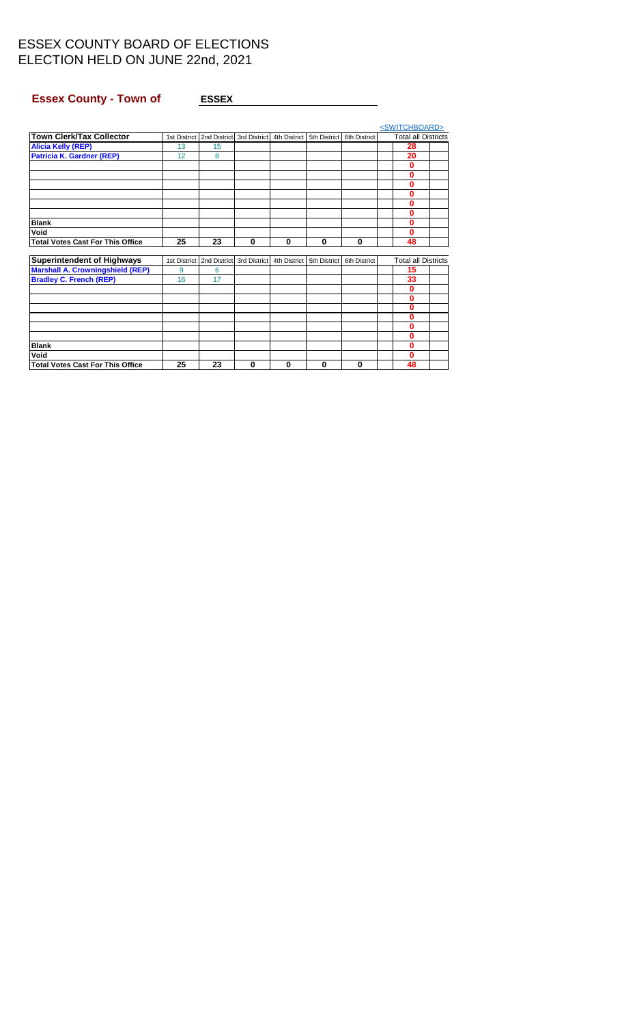## <span id="page-2-0"></span>Essex County - Town of **ESSEX ESSEX**

|                                         |              |                                            |              |              |              |              | <switchboard></switchboard> |                            |  |
|-----------------------------------------|--------------|--------------------------------------------|--------------|--------------|--------------|--------------|-----------------------------|----------------------------|--|
| Town Clerk/Tax Collector                |              | 1st District   2nd District   3rd District |              | 4th District | 5th District | 6th District |                             | <b>Total all Districts</b> |  |
| <b>Alicia Kelly (REP)</b>               | 13           | 15                                         |              |              |              |              |                             | 28                         |  |
| <b>Patricia K. Gardner (REP)</b>        | 12           | 8                                          |              |              |              |              |                             | 20                         |  |
|                                         |              |                                            |              |              |              |              |                             | $\bf{0}$                   |  |
|                                         |              |                                            |              |              |              |              |                             | 0                          |  |
|                                         |              |                                            |              |              |              |              |                             | 0                          |  |
|                                         |              |                                            |              |              |              |              |                             | 0                          |  |
|                                         |              |                                            |              |              |              |              |                             | U                          |  |
|                                         |              |                                            |              |              |              |              |                             | 0                          |  |
| <b>Blank</b>                            |              |                                            |              |              |              |              |                             | 0                          |  |
| Void                                    |              |                                            |              |              |              |              |                             | 0                          |  |
| <b>Total Votes Cast For This Office</b> | 25           | 23                                         | $\bf{0}$     | 0            | $\bf{0}$     | $\bf{0}$     |                             | 48                         |  |
|                                         |              |                                            |              |              |              |              |                             |                            |  |
| <b>Superintendent of Highways</b>       | 1st District | 2nd District                               | 3rd District | 4th District | 5th District | 6th District |                             | <b>Total all Districts</b> |  |
| <b>Marshall A. Crowningshield (REP)</b> | 9            | 6                                          |              |              |              |              |                             | 15                         |  |
| <b>Bradley C. French (REP)</b>          | 16           | 17                                         |              |              |              |              |                             | 33                         |  |
|                                         |              |                                            |              |              |              |              |                             | 0                          |  |
|                                         |              |                                            |              |              |              |              |                             | 0                          |  |
|                                         |              |                                            |              |              |              |              |                             | 0                          |  |
|                                         |              |                                            |              |              |              |              |                             | U                          |  |
|                                         |              |                                            |              |              |              |              |                             | 0                          |  |
|                                         |              |                                            |              |              |              |              |                             | 0                          |  |
| <b>Blank</b>                            |              |                                            |              |              |              |              |                             | 0                          |  |
| Void                                    |              |                                            |              |              |              |              |                             | 0                          |  |
| <b>Total Votes Cast For This Office</b> | 25           | 23                                         | 0            | 0            | 0            | 0            |                             | 48                         |  |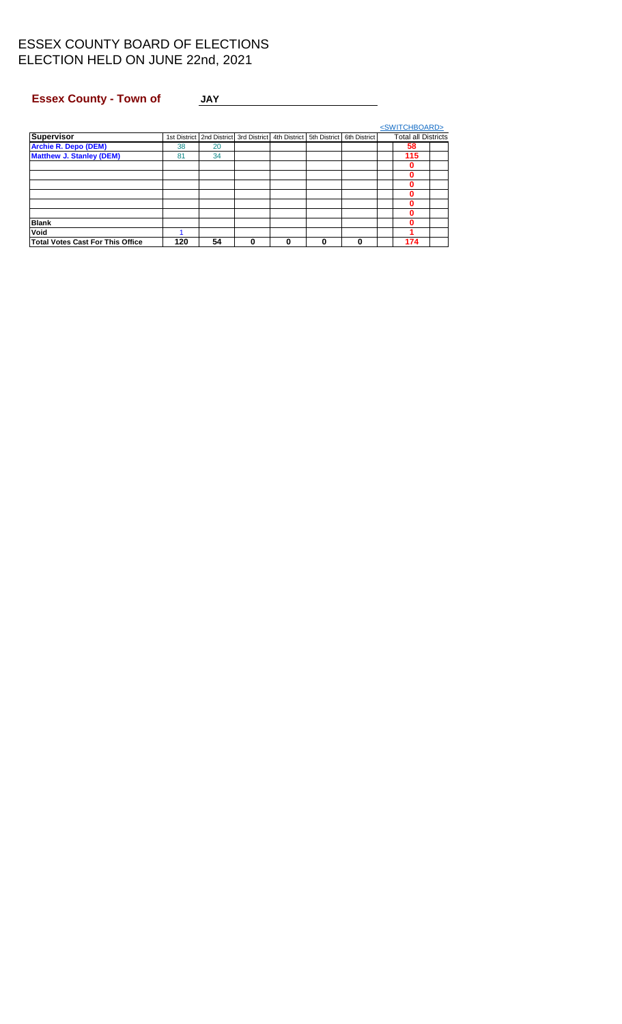## <span id="page-3-0"></span>Essex County - Town of JAY JAY

| <b>Supervisor</b>                       |     | 1st District   2nd District   3rd District |   | 4th District | 5th District | 6th District | <b>Total all Districts</b> |  |
|-----------------------------------------|-----|--------------------------------------------|---|--------------|--------------|--------------|----------------------------|--|
| <b>Archie R. Depo (DEM)</b>             | 38  | 20                                         |   |              |              |              | 58                         |  |
| <b>Matthew J. Stanley (DEM)</b>         | 81  | 34                                         |   |              |              |              | 115                        |  |
|                                         |     |                                            |   |              |              |              |                            |  |
|                                         |     |                                            |   |              |              |              |                            |  |
|                                         |     |                                            |   |              |              |              |                            |  |
|                                         |     |                                            |   |              |              |              |                            |  |
|                                         |     |                                            |   |              |              |              |                            |  |
|                                         |     |                                            |   |              |              |              |                            |  |
| <b>Blank</b>                            |     |                                            |   |              |              |              | ŋ                          |  |
| Void                                    |     |                                            |   |              |              |              |                            |  |
| <b>Total Votes Cast For This Office</b> | 120 | 54                                         | 0 | 0            | 0            | 0            | 174                        |  |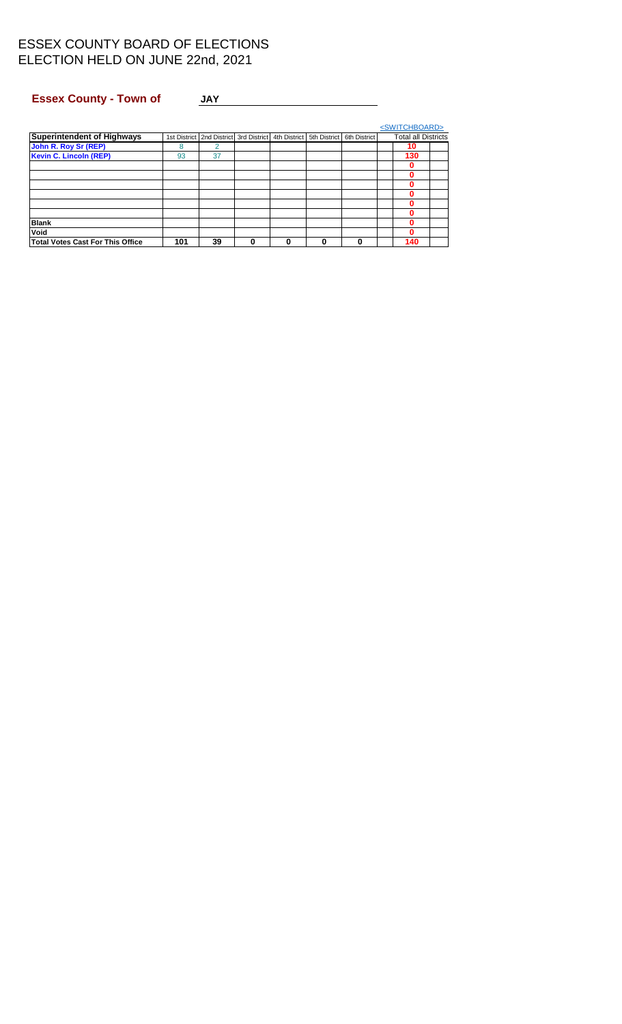## <span id="page-4-0"></span>Essex County - Town of JAY JAY

| <b>Superintendent of Highways</b>       |     | 1st District   2nd District   3rd District |   | 4th District | 5th District | 6th District | <b>Total all Districts</b> |
|-----------------------------------------|-----|--------------------------------------------|---|--------------|--------------|--------------|----------------------------|
| John R. Roy Sr (REP)                    | 8   | 2                                          |   |              |              |              | 10                         |
| <b>Kevin C. Lincoln (REP)</b>           | 93  | 37                                         |   |              |              |              | 130                        |
|                                         |     |                                            |   |              |              |              |                            |
|                                         |     |                                            |   |              |              |              |                            |
|                                         |     |                                            |   |              |              |              |                            |
|                                         |     |                                            |   |              |              |              |                            |
|                                         |     |                                            |   |              |              |              |                            |
|                                         |     |                                            |   |              |              |              |                            |
| <b>Blank</b>                            |     |                                            |   |              |              |              |                            |
| Void                                    |     |                                            |   |              |              |              |                            |
| <b>Total Votes Cast For This Office</b> | 101 | 39                                         | 0 | 0            | 0            | 0            | 140                        |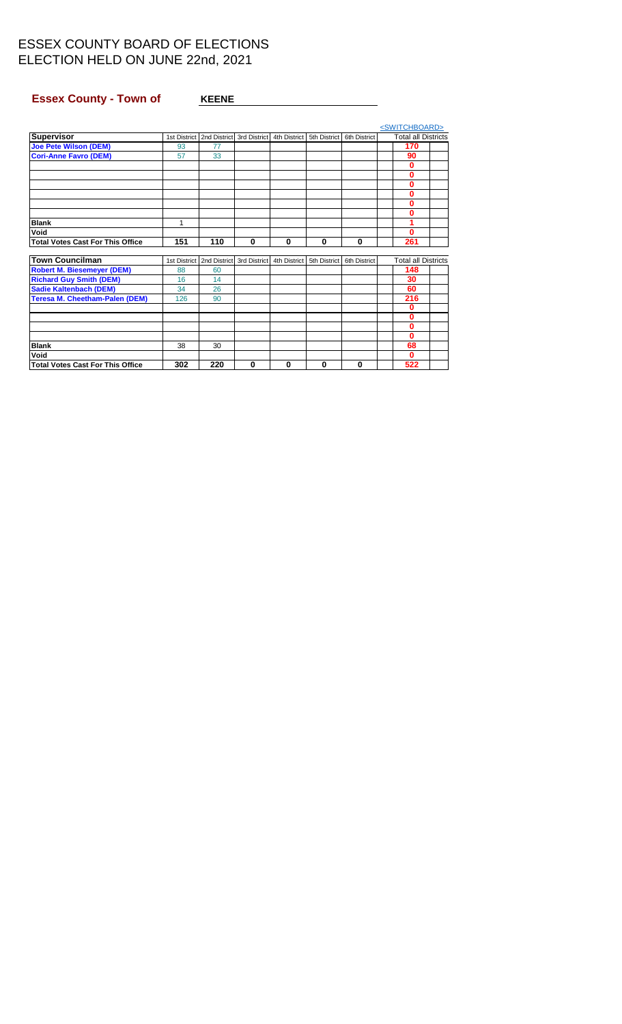## <span id="page-5-0"></span>**Essex County - Town of KEENE KEENE**

|                                         |              |              |              |              |              |              | <switchboard></switchboard> |  |
|-----------------------------------------|--------------|--------------|--------------|--------------|--------------|--------------|-----------------------------|--|
| Supervisor                              | 1st District | 2nd District | 3rd District | 4th District | 5th District | 6th District | <b>Total all Districts</b>  |  |
| <b>Joe Pete Wilson (DEM)</b>            | 93           | 77           |              |              |              |              | 170                         |  |
| <b>Cori-Anne Favro (DEM)</b>            | 57           | 33           |              |              |              |              | 90                          |  |
|                                         |              |              |              |              |              |              | $\bf{0}$                    |  |
|                                         |              |              |              |              |              |              | $\bf{0}$                    |  |
|                                         |              |              |              |              |              |              | $\bf{0}$                    |  |
|                                         |              |              |              |              |              |              | 0                           |  |
|                                         |              |              |              |              |              |              | 0                           |  |
|                                         |              |              |              |              |              |              | 0                           |  |
| <b>Blank</b>                            | 1            |              |              |              |              |              |                             |  |
| Void                                    |              |              |              |              |              |              | 0                           |  |
| <b>Total Votes Cast For This Office</b> | 151          | 110          | $\bf{0}$     | 0            | $\Omega$     | $\bf{0}$     | 261                         |  |
|                                         |              |              |              |              |              |              |                             |  |
| Town Councilman                         | 1st District | 2nd District | 3rd District | 4th District | 5th District | 6th District | <b>Total all Districts</b>  |  |
| <b>Robert M. Biesemeyer (DEM)</b>       | 88           | 60           |              |              |              |              | 148                         |  |
| <b>Richard Guy Smith (DEM)</b>          | 16           | 14           |              |              |              |              | 30                          |  |
| <b>Sadie Kaltenbach (DEM)</b>           | 34           | 26           |              |              |              |              | 60                          |  |
| <b>Teresa M. Cheetham-Palen (DEM)</b>   | 126          | 90           |              |              |              |              | 216                         |  |
|                                         |              |              |              |              |              |              | $\bf{0}$                    |  |
|                                         |              |              |              |              |              |              | 0                           |  |
|                                         |              |              |              |              |              |              | 0                           |  |
|                                         |              |              |              |              |              |              | $\bf{0}$                    |  |
| <b>Blank</b>                            | 38           | 30           |              |              |              |              | 68                          |  |
| Void                                    |              |              |              |              |              |              | $\Omega$                    |  |
| <b>Total Votes Cast For This Office</b> | 302          | 220          | 0            | 0            | 0            | $\bf{0}$     | 522                         |  |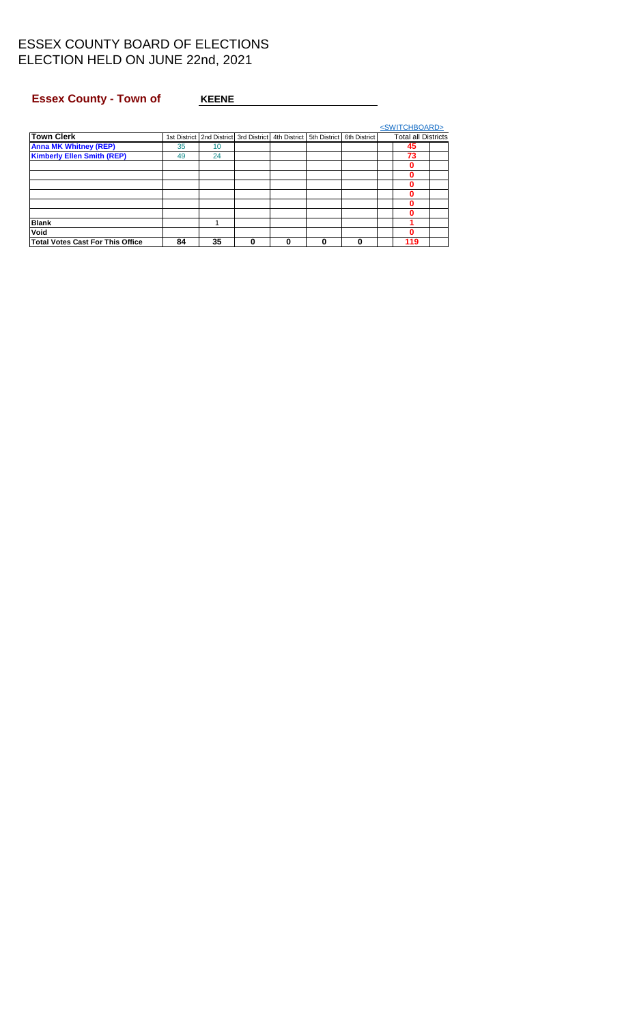## <span id="page-6-0"></span>**Essex County - Town of KEENE KEENE**

|                                         |    |                                                                               |   |              |   |   | <switchboard></switchboard> |  |
|-----------------------------------------|----|-------------------------------------------------------------------------------|---|--------------|---|---|-----------------------------|--|
| <b>Town Clerk</b>                       |    | 1st District 2nd District 3rd District 4th District 5th District 6th District |   |              |   |   | <b>Total all Districts</b>  |  |
| <b>Anna MK Whitney (REP)</b>            | 35 | 10                                                                            |   |              |   |   | 45                          |  |
| <b>Kimberly Ellen Smith (REP)</b>       | 49 | 24                                                                            |   |              |   |   | 73                          |  |
|                                         |    |                                                                               |   |              |   |   |                             |  |
|                                         |    |                                                                               |   |              |   |   |                             |  |
|                                         |    |                                                                               |   |              |   |   |                             |  |
|                                         |    |                                                                               |   |              |   |   |                             |  |
|                                         |    |                                                                               |   |              |   |   |                             |  |
|                                         |    |                                                                               |   |              |   |   |                             |  |
| <b>Blank</b>                            |    |                                                                               |   |              |   |   |                             |  |
| Void                                    |    |                                                                               |   |              |   |   |                             |  |
| <b>Total Votes Cast For This Office</b> | 84 | 35                                                                            | 0 | $\mathbf{0}$ | 0 | 0 | 119                         |  |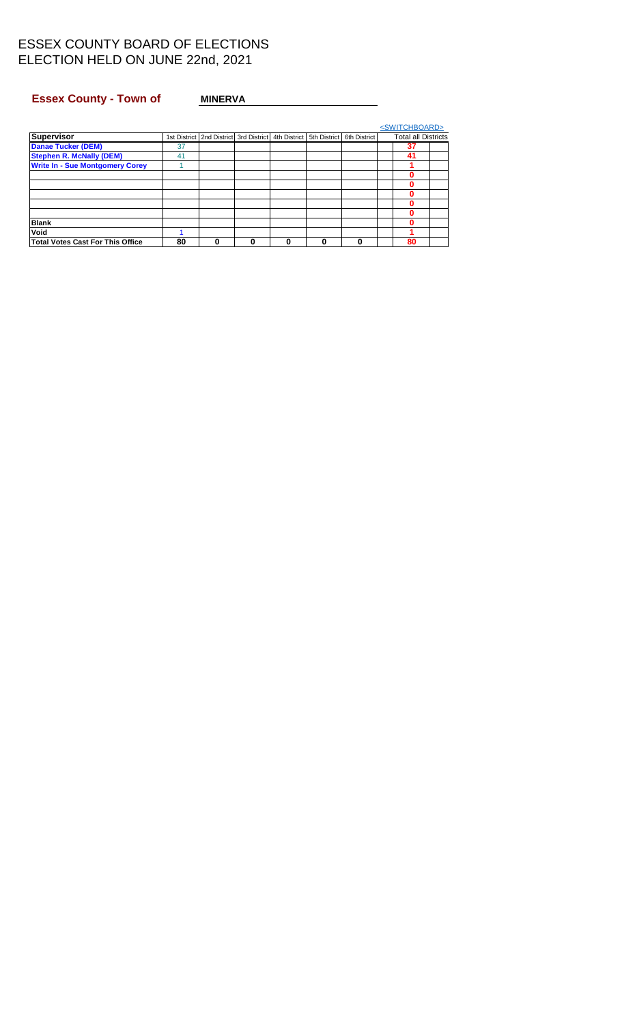## <span id="page-7-0"></span>Essex County - Town of MINERVA **MINERVA**

|                                         |    |                                            |   |                           |   |              | <switchboard></switchboard> |  |
|-----------------------------------------|----|--------------------------------------------|---|---------------------------|---|--------------|-----------------------------|--|
| <b>Supervisor</b>                       |    | 1st District   2nd District   3rd District |   | 4th District 5th District |   | 6th District | <b>Total all Districts</b>  |  |
| <b>Danae Tucker (DEM)</b>               | 37 |                                            |   |                           |   |              | 37                          |  |
| <b>Stephen R. McNally (DEM)</b>         | 41 |                                            |   |                           |   |              | 41                          |  |
| <b>Write In - Sue Montgomery Corey</b>  |    |                                            |   |                           |   |              |                             |  |
|                                         |    |                                            |   |                           |   |              |                             |  |
|                                         |    |                                            |   |                           |   |              |                             |  |
|                                         |    |                                            |   |                           |   |              |                             |  |
|                                         |    |                                            |   |                           |   |              |                             |  |
|                                         |    |                                            |   |                           |   |              |                             |  |
| <b>Blank</b>                            |    |                                            |   |                           |   |              |                             |  |
| Void                                    |    |                                            |   |                           |   |              |                             |  |
| <b>Total Votes Cast For This Office</b> | 80 |                                            | 0 | 0                         | 0 | 0            | 80                          |  |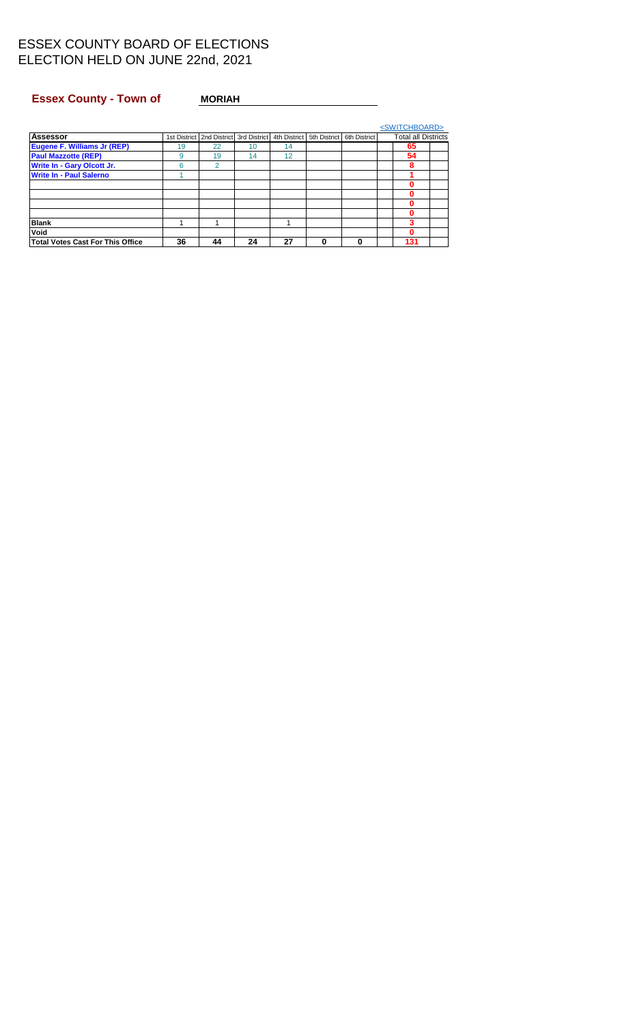## <span id="page-8-0"></span>Essex County - Town of MORIAH

|                                         |    |                             |              |              |              |              | <switchboard></switchboard> |  |
|-----------------------------------------|----|-----------------------------|--------------|--------------|--------------|--------------|-----------------------------|--|
| <b>Assessor</b>                         |    | 1st District   2nd District | 3rd District | 4th District | 5th District | 6th District | <b>Total all Districts</b>  |  |
| Eugene F. Williams Jr (REP)             | 19 | 22                          | 10           | 14           |              |              | 65                          |  |
| <b>Paul Mazzotte (REP)</b>              | 9  | 19                          | 14           | 12           |              |              | 54                          |  |
| Write In - Gary Olcott Jr.              | 6  | 2                           |              |              |              |              | 8                           |  |
| <b>Write In - Paul Salerno</b>          |    |                             |              |              |              |              |                             |  |
|                                         |    |                             |              |              |              |              | 0                           |  |
|                                         |    |                             |              |              |              |              |                             |  |
|                                         |    |                             |              |              |              |              | 0                           |  |
|                                         |    |                             |              |              |              |              |                             |  |
| <b>Blank</b>                            |    |                             |              |              |              |              | 3                           |  |
| Void                                    |    |                             |              |              |              |              | 0                           |  |
| <b>Total Votes Cast For This Office</b> | 36 | 44                          | 24           | 27           | 0            | $\bf{0}$     | 131                         |  |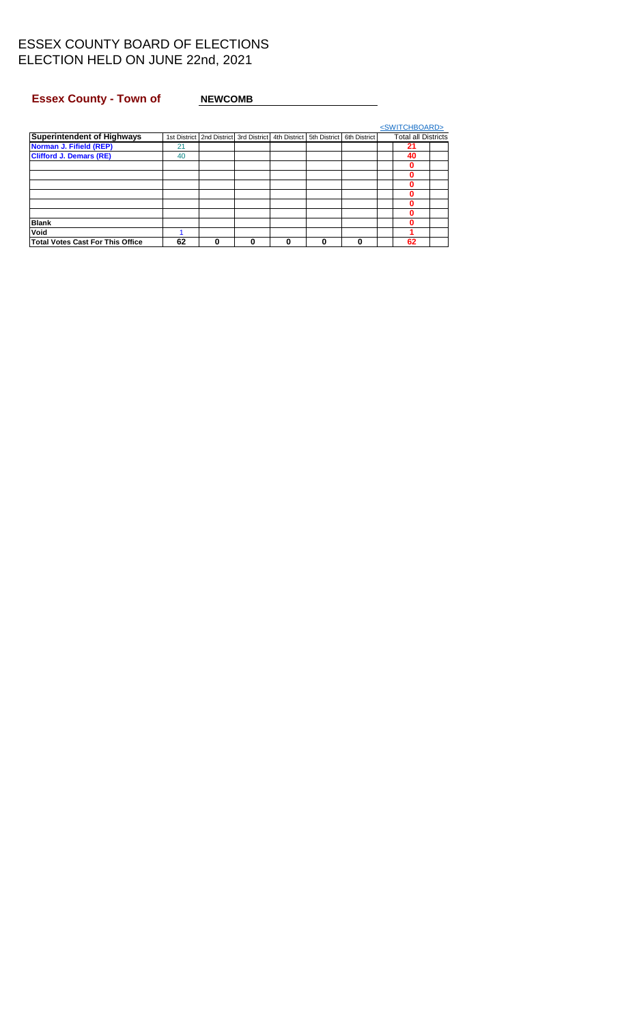## <span id="page-9-0"></span>Essex County - Town of NEWCOMB

|                                         |    |                                                                               |          |   |   |   | <switchboard></switchboard> |  |
|-----------------------------------------|----|-------------------------------------------------------------------------------|----------|---|---|---|-----------------------------|--|
| <b>Superintendent of Highways</b>       |    | 1st District 2nd District 3rd District 4th District 5th District 6th District |          |   |   |   | <b>Total all Districts</b>  |  |
| Norman J. Fifield (REP)                 | 21 |                                                                               |          |   |   |   | 21                          |  |
| <b>Clifford J. Demars (RE)</b>          | 40 |                                                                               |          |   |   |   | 40                          |  |
|                                         |    |                                                                               |          |   |   |   |                             |  |
|                                         |    |                                                                               |          |   |   |   |                             |  |
|                                         |    |                                                                               |          |   |   |   |                             |  |
|                                         |    |                                                                               |          |   |   |   |                             |  |
|                                         |    |                                                                               |          |   |   |   |                             |  |
|                                         |    |                                                                               |          |   |   |   |                             |  |
| <b>Blank</b>                            |    |                                                                               |          |   |   |   |                             |  |
| Void                                    |    |                                                                               |          |   |   |   |                             |  |
| <b>Total Votes Cast For This Office</b> | 62 |                                                                               | $\bf{0}$ | 0 | 0 | 0 | 62                          |  |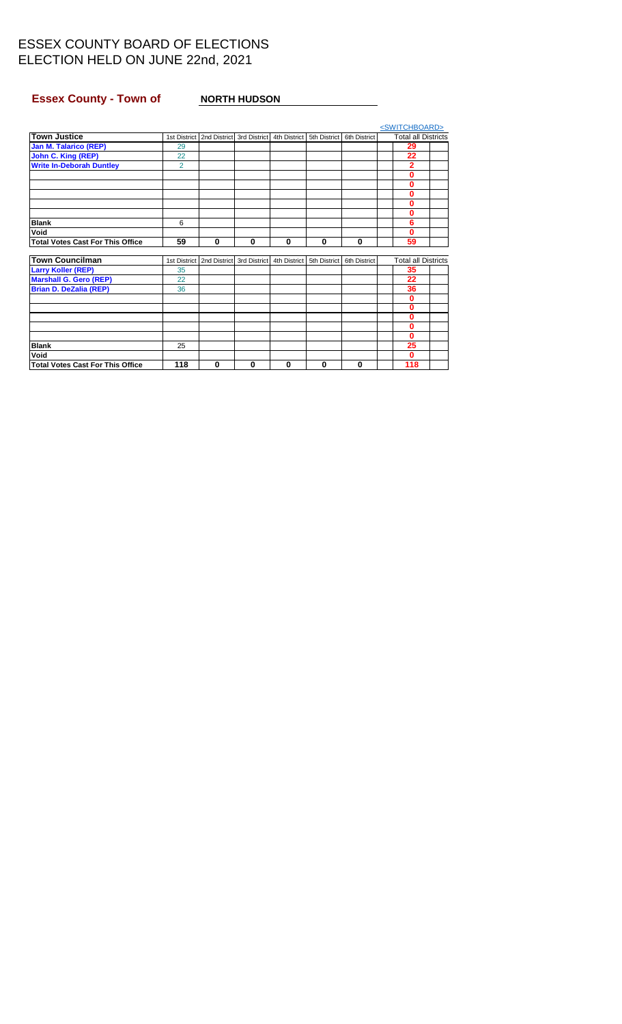## <span id="page-10-0"></span>**Essex County - Town of NORTH HUDSON**

|                                         |                |              |              |              |              |              | <switchboard></switchboard> |  |
|-----------------------------------------|----------------|--------------|--------------|--------------|--------------|--------------|-----------------------------|--|
| <b>Town Justice</b>                     | 1st District   | 2nd District | 3rd District | 4th District | 5th District | 6th District | <b>Total all Districts</b>  |  |
| <b>Jan M. Talarico (REP)</b>            | 29             |              |              |              |              |              | 29                          |  |
| <b>John C. King (REP)</b>               | 22             |              |              |              |              |              | 22                          |  |
| <b>Write In-Deborah Duntley</b>         | $\overline{2}$ |              |              |              |              |              | 2                           |  |
|                                         |                |              |              |              |              |              | 0                           |  |
|                                         |                |              |              |              |              |              | 0                           |  |
|                                         |                |              |              |              |              |              | 0                           |  |
|                                         |                |              |              |              |              |              | 0                           |  |
|                                         |                |              |              |              |              |              | 0                           |  |
| <b>Blank</b>                            | 6              |              |              |              |              |              | 6                           |  |
| Void                                    |                |              |              |              |              |              | 0                           |  |
| <b>Total Votes Cast For This Office</b> | 59             | $\bf{0}$     | $\mathbf 0$  | 0            | $\bf{0}$     | $\bf{0}$     | 59                          |  |
|                                         |                |              |              |              |              |              |                             |  |
| <b>Town Councilman</b>                  | 1st District   | 2nd District | 3rd District | 4th District | 5th District | 6th District | <b>Total all Districts</b>  |  |
| <b>Larry Koller (REP)</b>               | 35             |              |              |              |              |              | 35                          |  |
| <b>Marshall G. Gero (REP)</b>           | 22             |              |              |              |              |              | 22                          |  |
| <b>Brian D. DeZalia (REP)</b>           | 36             |              |              |              |              |              | 36                          |  |
|                                         |                |              |              |              |              |              | $\bf{0}$                    |  |
|                                         |                |              |              |              |              |              | 0                           |  |
|                                         |                |              |              |              |              |              | 0                           |  |
|                                         |                |              |              |              |              |              | 0                           |  |
|                                         |                |              |              |              |              |              | 0                           |  |
| <b>Blank</b>                            | 25             |              |              |              |              |              | 25                          |  |
| Void                                    |                |              |              |              |              |              | $\bf{0}$                    |  |
| <b>Total Votes Cast For This Office</b> | 118            | 0            | 0            | 0            | $\bf{0}$     | 0            | 118                         |  |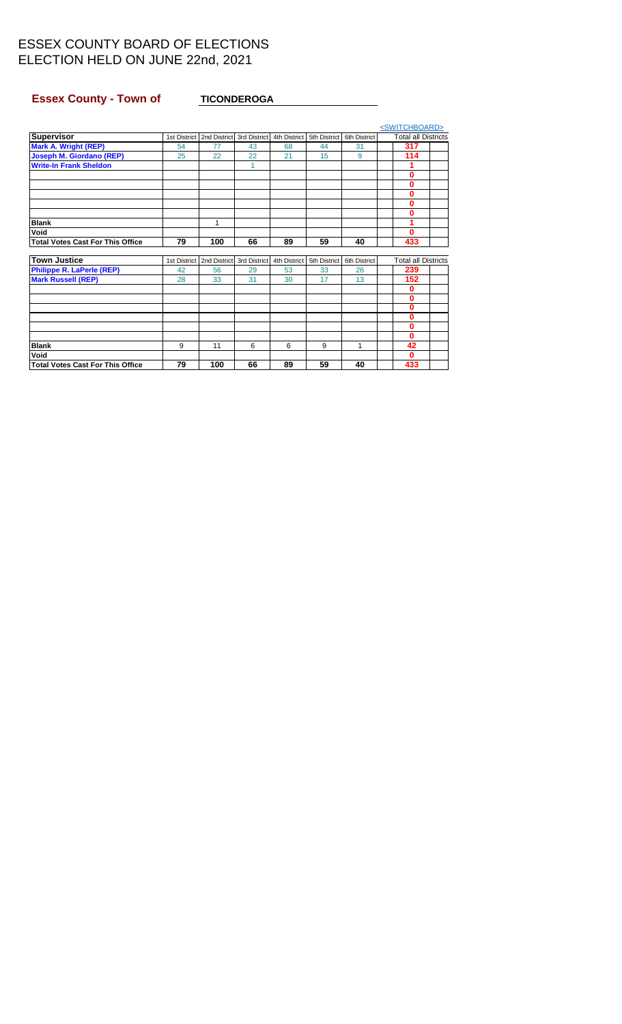## <span id="page-11-0"></span>**Essex County - Town of TICONDEROGA**

|                                         |    |                                            |    |              |              |              | <switchboard></switchboard> |  |
|-----------------------------------------|----|--------------------------------------------|----|--------------|--------------|--------------|-----------------------------|--|
| Supervisor                              |    | 1st District   2nd District   3rd District |    | 4th District | 5th District | 6th District | <b>Total all Districts</b>  |  |
| <b>Mark A. Wright (REP)</b>             | 54 | 77                                         | 43 | 68           | 44           | 31           | 317                         |  |
| <b>Joseph M. Giordano (REP)</b>         | 25 | 22                                         | 22 | 21           | 15           | 9            | 114                         |  |
| <b>Write-In Frank Sheldon</b>           |    |                                            | 1  |              |              |              |                             |  |
|                                         |    |                                            |    |              |              |              | 0                           |  |
|                                         |    |                                            |    |              |              |              | 0                           |  |
|                                         |    |                                            |    |              |              |              | 0                           |  |
|                                         |    |                                            |    |              |              |              | 0                           |  |
|                                         |    |                                            |    |              |              |              | 0                           |  |
| <b>Blank</b>                            |    | 1                                          |    |              |              |              |                             |  |
| Void                                    |    |                                            |    |              |              |              | 0                           |  |
| <b>Total Votes Cast For This Office</b> | 79 | 100                                        | 66 | 89           | 59           | 40           | 433                         |  |
|                                         |    |                                            |    |              |              |              |                             |  |
| <b>Town Justice</b>                     |    | 1st District   2nd District   3rd District |    | 4th District | 5th District | 6th District | <b>Total all Districts</b>  |  |
| <b>Philippe R. LaPerle (REP)</b>        | 42 | 56                                         | 29 | 53           | 33           | 26           | 239                         |  |
| <b>Mark Russell (REP)</b>               | 28 | 33                                         | 31 | 30           | 17           | 13           | 152                         |  |
|                                         |    |                                            |    |              |              |              | 0                           |  |
|                                         |    |                                            |    |              |              |              | 0                           |  |
|                                         |    |                                            |    |              |              |              | 0                           |  |
|                                         |    |                                            |    |              |              |              | 0                           |  |
|                                         |    |                                            |    |              |              |              | 0                           |  |
|                                         |    |                                            |    |              |              |              | $\bf{0}$                    |  |
| <b>Blank</b>                            | 9  | 11                                         | 6  | 6            | 9            | 1            | 42                          |  |
| Void                                    |    |                                            |    |              |              |              | $\Omega$                    |  |
| <b>Total Votes Cast For This Office</b> | 79 | 100                                        | 66 | 89           | 59           | 40           | 433                         |  |